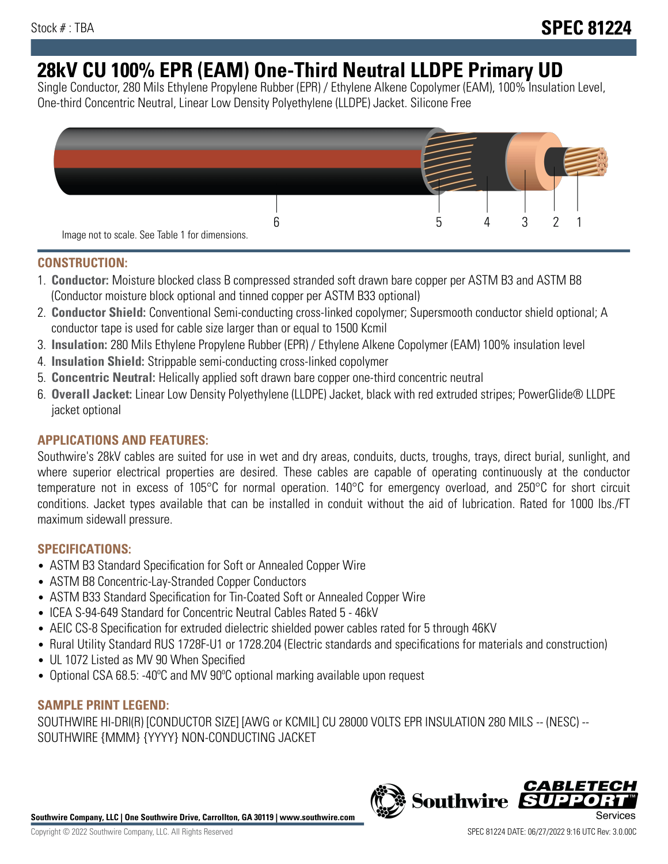# **28kV CU 100% EPR (EAM) One-Third Neutral LLDPE Primary UD**

Single Conductor, 280 Mils Ethylene Propylene Rubber (EPR) / Ethylene Alkene Copolymer (EAM), 100% Insulation Level, One-third Concentric Neutral, Linear Low Density Polyethylene (LLDPE) Jacket. Silicone Free



## **CONSTRUCTION:**

- 1. **Conductor:** Moisture blocked class B compressed stranded soft drawn bare copper per ASTM B3 and ASTM B8 (Conductor moisture block optional and tinned copper per ASTM B33 optional)
- 2. **Conductor Shield:** Conventional Semi-conducting cross-linked copolymer; Supersmooth conductor shield optional; A conductor tape is used for cable size larger than or equal to 1500 Kcmil
- 3. **Insulation:** 280 Mils Ethylene Propylene Rubber (EPR) / Ethylene Alkene Copolymer (EAM) 100% insulation level
- 4. **Insulation Shield:** Strippable semi-conducting cross-linked copolymer
- 5. **Concentric Neutral:** Helically applied soft drawn bare copper one-third concentric neutral
- 6. **Overall Jacket:** Linear Low Density Polyethylene (LLDPE) Jacket, black with red extruded stripes; PowerGlide® LLDPE jacket optional

# **APPLICATIONS AND FEATURES:**

Southwire's 28kV cables are suited for use in wet and dry areas, conduits, ducts, troughs, trays, direct burial, sunlight, and where superior electrical properties are desired. These cables are capable of operating continuously at the conductor temperature not in excess of 105°C for normal operation. 140°C for emergency overload, and 250°C for short circuit conditions. Jacket types available that can be installed in conduit without the aid of lubrication. Rated for 1000 lbs./FT maximum sidewall pressure.

## **SPECIFICATIONS:**

- ASTM B3 Standard Specification for Soft or Annealed Copper Wire
- ASTM B8 Concentric-Lay-Stranded Copper Conductors
- ASTM B33 Standard Specification for Tin-Coated Soft or Annealed Copper Wire
- ICEA S-94-649 Standard for Concentric Neutral Cables Rated 5 46kV
- AEIC CS-8 Specification for extruded dielectric shielded power cables rated for 5 through 46KV
- Rural Utility Standard RUS 1728F-U1 or 1728.204 (Electric standards and specifications for materials and construction)
- UL 1072 Listed as MV 90 When Specified
- Optional CSA 68.5: -40°C and MV 90°C optional marking available upon request

# **SAMPLE PRINT LEGEND:**

SOUTHWIRE HI-DRI(R) [CONDUCTOR SIZE] [AWG or KCMIL] CU 28000 VOLTS EPR INSULATION 280 MILS -- (NESC) -- SOUTHWIRE {MMM} {YYYY} NON-CONDUCTING JACKET

**Southwire Company, LLC | One Southwire Drive, Carrollton, GA 30119 | www.southwire.com**